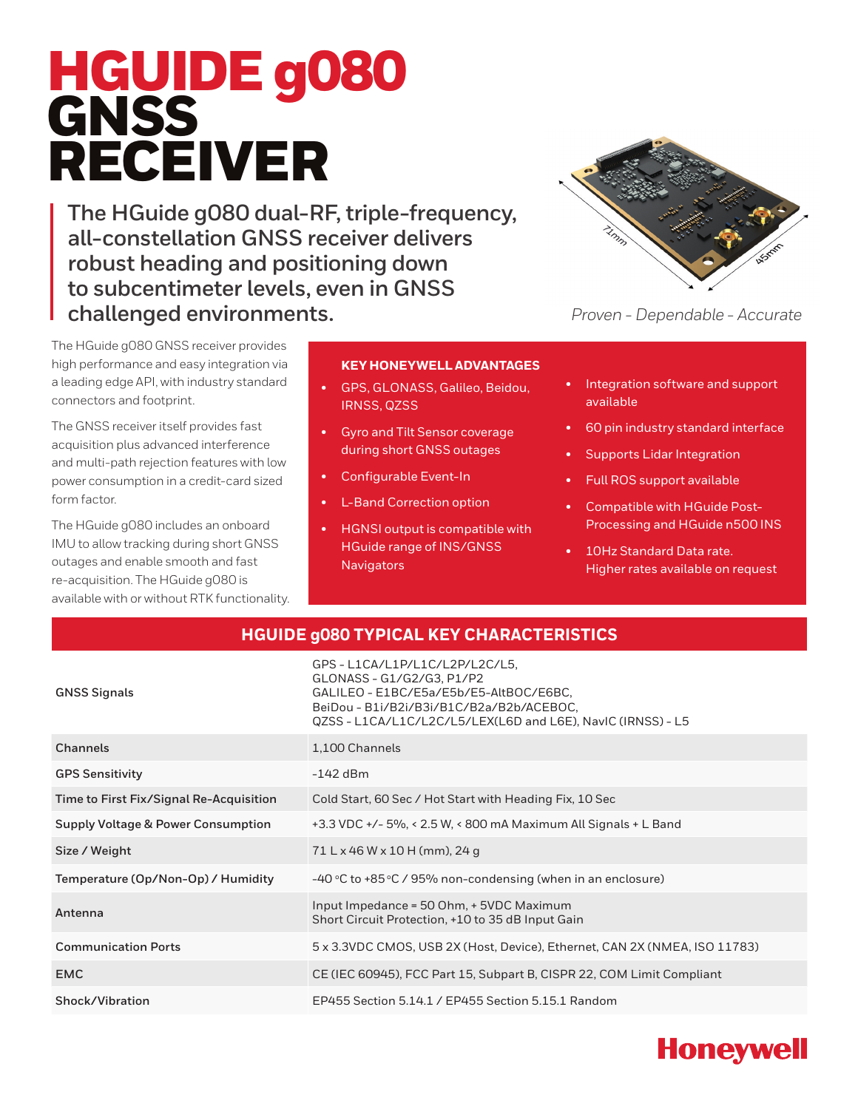# HGUIDE g080 GNSS RECEIVER

**The HGuide g080 dual-RF, triple-frequency, all-constellation GNSS receiver delivers robust heading and positioning down to subcentimeter levels, even in GNSS challenged environments.**



*Proven - Dependable - Accurate*

The HGuide g080 GNSS receiver provides high performance and easy integration via a leading edge API, with industry standard connectors and footprint.

The GNSS receiver itself provides fast acquisition plus advanced interference and multi-path rejection features with low power consumption in a credit-card sized form factor.

The HGuide g080 includes an onboard IMU to allow tracking during short GNSS outages and enable smooth and fast re-acquisition. The HGuide g080 is available with or without RTK functionality.

#### **KEY HONEYWELL ADVANTAGES**

- GPS, GLONASS, Galileo, Beidou, IRNSS, QZSS
- Gyro and Tilt Sensor coverage during short GNSS outages
- Configurable Event-In
- **L-Band Correction option**
- HGNSI output is compatible with HGuide range of INS/GNSS **Navigators**
- Integration software and support available
- 60 pin industry standard interface
- Supports Lidar Integration
- Full ROS support available
- Compatible with HGuide Post-Processing and HGuide n500 INS
- 10Hz Standard Data rate. Higher rates available on request

#### **HGUIDE g080 TYPICAL KEY CHARACTERISTICS**

| GPS - L1CA/L1P/L1C/L2P/L2C/L5,<br>GLONASS - G1/G2/G3, P1/P2<br>GALILEO - E1BC/E5a/E5b/E5-AltBOC/E6BC,<br>BeiDou - B1i/B2i/B3i/B1C/B2a/B2b/ACEBOC,<br>QZSS - L1CA/L1C/L2C/L5/LEX(L6D and L6E), NavIC (IRNSS) - L5 |
|------------------------------------------------------------------------------------------------------------------------------------------------------------------------------------------------------------------|
| 1,100 Channels                                                                                                                                                                                                   |
| $-142$ dBm                                                                                                                                                                                                       |
| Cold Start, 60 Sec / Hot Start with Heading Fix, 10 Sec                                                                                                                                                          |
| +3.3 VDC +/- 5%, < 2.5 W, < 800 mA Maximum All Signals + L Band                                                                                                                                                  |
| 71 L x 46 W x 10 H (mm), 24 g                                                                                                                                                                                    |
| -40 °C to +85 °C / 95% non-condensing (when in an enclosure)                                                                                                                                                     |
| Input Impedance = 50 Ohm, + 5VDC Maximum<br>Short Circuit Protection, +10 to 35 dB Input Gain                                                                                                                    |
| 5 x 3.3VDC CMOS, USB 2X (Host, Device), Ethernet, CAN 2X (NMEA, ISO 11783)                                                                                                                                       |
| CE (IEC 60945), FCC Part 15, Subpart B, CISPR 22, COM Limit Compliant                                                                                                                                            |
| EP455 Section 5.14.1 / EP455 Section 5.15.1 Random                                                                                                                                                               |
|                                                                                                                                                                                                                  |

## **Honeywell**